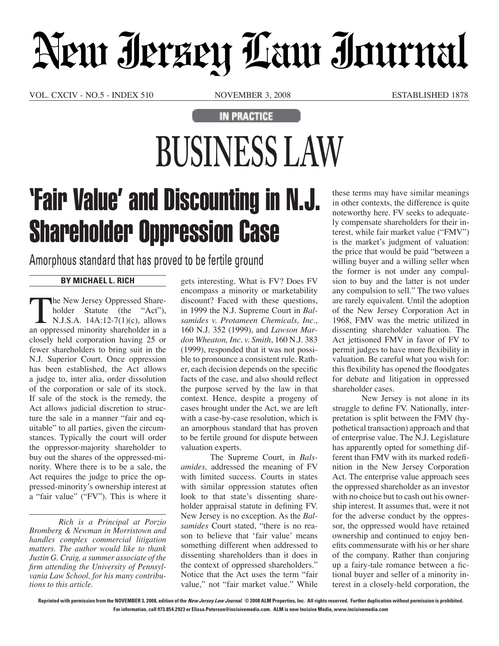# Neur Jerzey Law Journal

VOL. CXCIV - NO.5 - INDEX 510 NOVEMBER 3, 2008 ESTABLISHED 1878

#### **IN PRACTICE**

## **BUSINESS LAW**

### 'Fair Value' and Discounting in N.J. Shareholder Oppression Case

Amorphous standard that has proved to be fertile ground

### **By Michael L. Rich**

The New Jersey Oppressed Shareholder Statute (the "Act"),  $\mathsf{N.J.S.A. 14A:12-7(1)(c), allows}$ an oppressed minority shareholder in a closely held corporation having 25 or fewer shareholders to bring suit in the N.J. Superior Court. Once oppression has been established, the Act allows a judge to, inter alia, order dissolution of the corporation or sale of its stock. If sale of the stock is the remedy, the Act allows judicial discretion to structure the sale in a manner "fair and equitable" to all parties, given the circumstances. Typically the court will order the oppressor-majority shareholder to buy out the shares of the oppressed-minority. Where there is to be a sale, the Act requires the judge to price the oppressed-minority's ownership interest at a "fair value" ("FV"). This is where it

*Rich is a Principal at Porzio Bromberg & Newman in Morristown and handles complex commercial litigation matters. The author would like to thank Justin G. Craig, a summer associate of the firm attending the University of Pennsylvania Law School, for his many contributions to this article.*

gets interesting. What is FV? Does FV encompass a minority or marketability discount? Faced with these questions, in 1999 the N.J. Supreme Court in *Balsamides v. Protameen Chemicals, Inc.*, 160 N.J. 352 (1999), and *Lawson Mardon Wheaton, Inc. v. Smith*, 160 N.J. 383 (1999), responded that it was not possible to pronounce a consistent rule. Rather, each decision depends on the specific facts of the case, and also should reflect the purpose served by the law in that context. Hence, despite a progeny of cases brought under the Act, we are left with a case-by-case resolution, which is an amorphous standard that has proven to be fertile ground for dispute between valuation experts.

The Supreme Court, in *Balsamides,* addressed the meaning of FV with limited success. Courts in states with similar oppression statutes often look to that state's dissenting shareholder appraisal statute in defining FV. New Jersey is no exception. As the *Balsamides* Court stated, "there is no reason to believe that 'fair value' means something different when addressed to dissenting shareholders than it does in the context of oppressed shareholders." Notice that the Act uses the term "fair value," not "fair market value." While these terms may have similar meanings in other contexts, the difference is quite noteworthy here. FV seeks to adequately compensate shareholders for their interest, while fair market value ("FMV") is the market's judgment of valuation: the price that would be paid "between a willing buyer and a willing seller when the former is not under any compulsion to buy and the latter is not under any compulsion to sell." The two values are rarely equivalent. Until the adoption of the New Jersey Corporation Act in 1968, FMV was the metric utilized in dissenting shareholder valuation. The Act jettisoned FMV in favor of FV to permit judges to have more flexibility in valuation. Be careful what you wish for: this flexibility has opened the floodgates for debate and litigation in oppressed shareholder cases.

New Jersey is not alone in its struggle to define FV. Nationally, interpretation is split between the FMV (hypothetical transaction) approach and that of enterprise value. The N.J. Legislature has apparently opted for something different than FMV with its marked redefinition in the New Jersey Corporation Act. The enterprise value approach sees the oppressed shareholder as an investor with no choice but to cash out his ownership interest. It assumes that, were it not for the adverse conduct by the oppressor, the oppressed would have retained ownership and continued to enjoy benefits commensurate with his or her share of the company. Rather than conjuring up a fairy-tale romance between a fictional buyer and seller of a minority interest in a closely-held corporation, the

**Reprinted with permission from the NOVEMBER 3, 2008, edition of the New Jersey Law Journal. © 2008 ALM Properties, Inc. All rights reserved. Further duplication without permission is prohibited. For information, call 973.854.2923 or Elissa.Peterson@incisivemedia.com. ALM is now Incisive Media, www.incisivemedia.com**